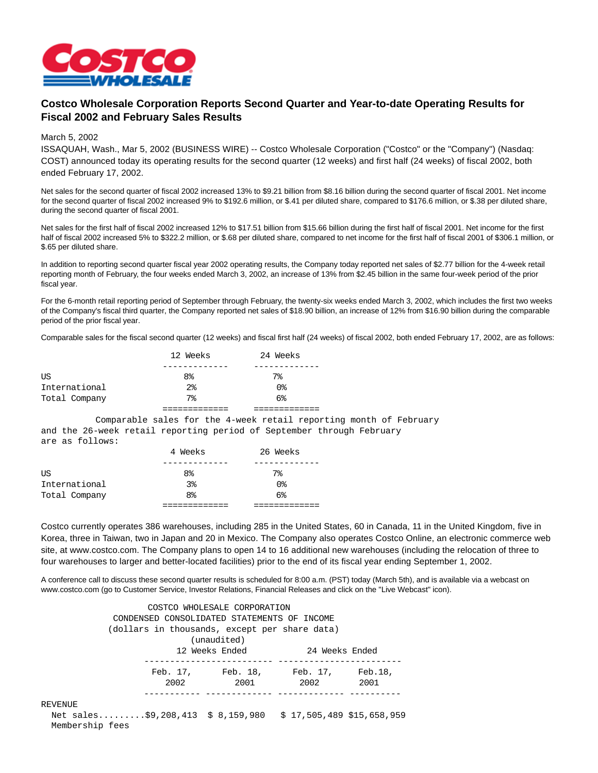

## **Costco Wholesale Corporation Reports Second Quarter and Year-to-date Operating Results for Fiscal 2002 and February Sales Results**

## March 5, 2002

ISSAQUAH, Wash., Mar 5, 2002 (BUSINESS WIRE) -- Costco Wholesale Corporation ("Costco" or the "Company") (Nasdaq: COST) announced today its operating results for the second quarter (12 weeks) and first half (24 weeks) of fiscal 2002, both ended February 17, 2002.

Net sales for the second quarter of fiscal 2002 increased 13% to \$9.21 billion from \$8.16 billion during the second quarter of fiscal 2001. Net income for the second quarter of fiscal 2002 increased 9% to \$192.6 million, or \$.41 per diluted share, compared to \$176.6 million, or \$.38 per diluted share, during the second quarter of fiscal 2001.

Net sales for the first half of fiscal 2002 increased 12% to \$17.51 billion from \$15.66 billion during the first half of fiscal 2001. Net income for the first half of fiscal 2002 increased 5% to \$322.2 million, or \$.68 per diluted share, compared to net income for the first half of fiscal 2001 of \$306.1 million, or \$.65 per diluted share.

In addition to reporting second quarter fiscal year 2002 operating results, the Company today reported net sales of \$2.77 billion for the 4-week retail reporting month of February, the four weeks ended March 3, 2002, an increase of 13% from \$2.45 billion in the same four-week period of the prior fiscal year.

For the 6-month retail reporting period of September through February, the twenty-six weeks ended March 3, 2002, which includes the first two weeks of the Company's fiscal third quarter, the Company reported net sales of \$18.90 billion, an increase of 12% from \$16.90 billion during the comparable period of the prior fiscal year.

Comparable sales for the fiscal second quarter (12 weeks) and fiscal first half (24 weeks) of fiscal 2002, both ended February 17, 2002, are as follows:

|               | 12 Weeks       | 24 Weeks |
|---------------|----------------|----------|
|               |                |          |
| ΠS            | 8 <sup>°</sup> | $7\%$    |
| International | $2\,$          | 0%       |
| Total Company | 7%             | $6\%$    |
|               |                |          |

 Comparable sales for the 4-week retail reporting month of February and the 26-week retail reporting period of September through February are as follows:

|               | 4 Weeks        | 26 Weeks       |  |
|---------------|----------------|----------------|--|
|               |                |                |  |
| US            | 8 <sup>8</sup> | 7%             |  |
| International | 3%             | 0%             |  |
| Total Company | 8 <sup>°</sup> | 6 <sup>°</sup> |  |
|               |                |                |  |

Costco currently operates 386 warehouses, including 285 in the United States, 60 in Canada, 11 in the United Kingdom, five in Korea, three in Taiwan, two in Japan and 20 in Mexico. The Company also operates Costco Online, an electronic commerce web site, at www.costco.com. The Company plans to open 14 to 16 additional new warehouses (including the relocation of three to four warehouses to larger and better-located facilities) prior to the end of its fiscal year ending September 1, 2002.

A conference call to discuss these second quarter results is scheduled for 8:00 a.m. (PST) today (March 5th), and is available via a webcast on www.costco.com (go to Customer Service, Investor Relations, Financial Releases and click on the "Live Webcast" icon).

|                                                              |      | COSTCO WHOLESALE CORPORATION                  |                   |      |
|--------------------------------------------------------------|------|-----------------------------------------------|-------------------|------|
|                                                              |      | CONDENSED CONSOLIDATED STATEMENTS OF INCOME   |                   |      |
|                                                              |      | (dollars in thousands, except per share data) |                   |      |
|                                                              |      | (unaudited)                                   |                   |      |
|                                                              |      | 12 Weeks Ended                                | 24 Weeks Ended    |      |
|                                                              |      |                                               |                   |      |
|                                                              |      | Feb. 17, Feb. 18,                             | Feb. 17, Feb. 18, |      |
|                                                              | 2002 | 2001                                          | 2002              | 2001 |
|                                                              |      |                                               |                   |      |
| REVENUE                                                      |      |                                               |                   |      |
| Net sales\$9,208,413 \$ 8,159,980 \$ 17,505,489 \$15,658,959 |      |                                               |                   |      |
| Membership fees                                              |      |                                               |                   |      |